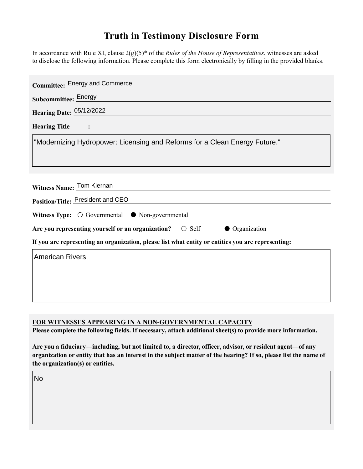## **Truth in Testimony Disclosure Form**

In accordance with Rule XI, clause 2(g)(5)\* of the *Rules of the House of Representatives*, witnesses are asked to disclose the following information. Please complete this form electronically by filling in the provided blanks.

| <b>Committee: Energy and Commerce</b>                                                              |
|----------------------------------------------------------------------------------------------------|
| Subcommittee: Energy                                                                               |
| Hearing Date: 05/12/2022                                                                           |
| <b>Hearing Title</b>                                                                               |
| "Modernizing Hydropower: Licensing and Reforms for a Clean Energy Future."                         |
| Witness Name: Tom Kiernan<br>Position/Title: President and CEO                                     |
| Witness Type: $\bigcirc$ Governmental $\bullet$ Non-governmental                                   |
| Are you representing yourself or an organization? $\bigcirc$ Self<br>• Organization                |
| If you are representing an organization, please list what entity or entities you are representing: |
| <b>American Rivers</b>                                                                             |
|                                                                                                    |
|                                                                                                    |
|                                                                                                    |

**FOR WITNESSES APPEARING IN A NON-GOVERNMENTAL CAPACITY**

**Please complete the following fields. If necessary, attach additional sheet(s) to provide more information.**

**Are you a fiduciary—including, but not limited to, a director, officer, advisor, or resident agent—of any organization or entity that has an interest in the subject matter of the hearing? If so, please list the name of the organization(s) or entities.**

No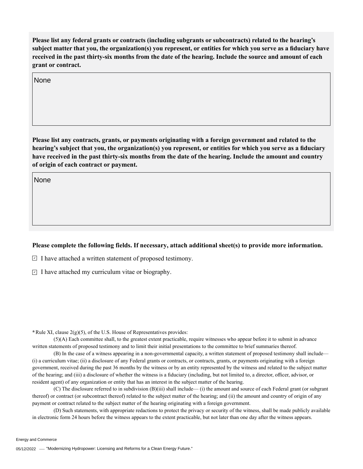**Please list any federal grants or contracts (including subgrants or subcontracts) related to the hearing's subject matter that you, the organization(s) you represent, or entities for which you serve as a fiduciary have received in the past thirty-six months from the date of the hearing. Include the source and amount of each grant or contract.** 

None

**Please list any contracts, grants, or payments originating with a foreign government and related to the hearing's subject that you, the organization(s) you represent, or entities for which you serve as a fiduciary have received in the past thirty-six months from the date of the hearing. Include the amount and country of origin of each contract or payment.** 

None

## **Please complete the following fields. If necessary, attach additional sheet(s) to provide more information.**

 $\exists$  I have attached a written statement of proposed testimony.

 $\subseteq$  I have attached my curriculum vitae or biography.

**\***Rule XI, clause 2(g)(5), of the U.S. House of Representatives provides:

(5)(A) Each committee shall, to the greatest extent practicable, require witnesses who appear before it to submit in advance written statements of proposed testimony and to limit their initial presentations to the committee to brief summaries thereof.

(B) In the case of a witness appearing in a non-governmental capacity, a written statement of proposed testimony shall include— (i) a curriculum vitae; (ii) a disclosure of any Federal grants or contracts, or contracts, grants, or payments originating with a foreign government, received during the past 36 months by the witness or by an entity represented by the witness and related to the subject matter of the hearing; and (iii) a disclosure of whether the witness is a fiduciary (including, but not limited to, a director, officer, advisor, or resident agent) of any organization or entity that has an interest in the subject matter of the hearing.

(C) The disclosure referred to in subdivision (B)(iii) shall include— (i) the amount and source of each Federal grant (or subgrant thereof) or contract (or subcontract thereof) related to the subject matter of the hearing; and (ii) the amount and country of origin of any payment or contract related to the subject matter of the hearing originating with a foreign government.

(D) Such statements, with appropriate redactions to protect the privacy or security of the witness, shall be made publicly available in electronic form 24 hours before the witness appears to the extent practicable, but not later than one day after the witness appears.

Energy and Commerce